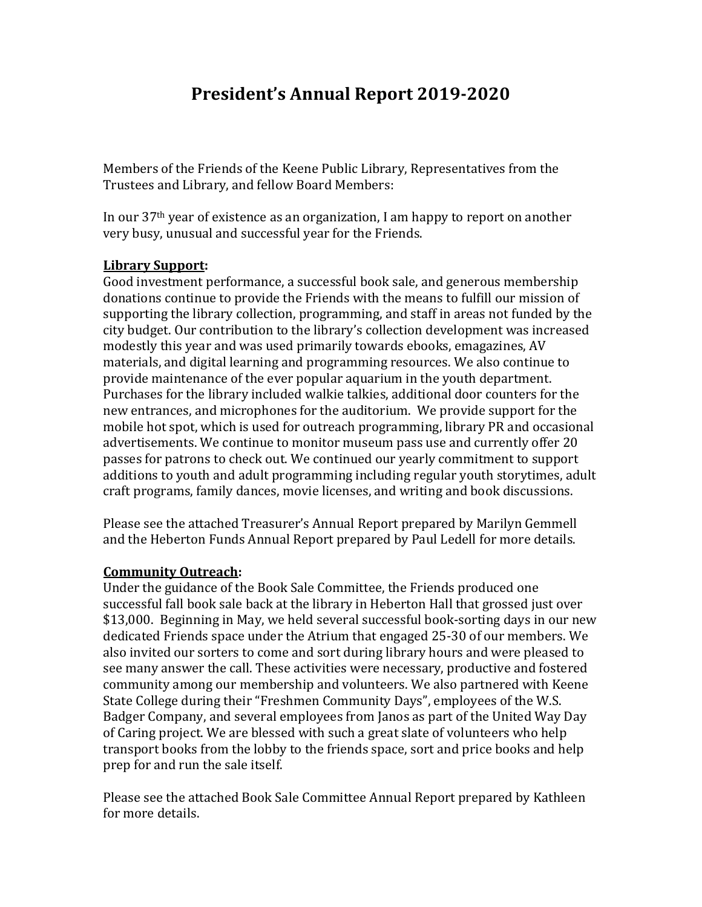# **President's Annual Report 2019-2020**

Members of the Friends of the Keene Public Library, Representatives from the Trustees and Library, and fellow Board Members:

In our  $37<sup>th</sup>$  year of existence as an organization, I am happy to report on another very busy, unusual and successful year for the Friends.

### **Library Support:**

Good investment performance, a successful book sale, and generous membership donations continue to provide the Friends with the means to fulfill our mission of supporting the library collection, programming, and staff in areas not funded by the city budget. Our contribution to the library's collection development was increased modestly this year and was used primarily towards ebooks, emagazines, AV materials, and digital learning and programming resources. We also continue to provide maintenance of the ever popular aquarium in the youth department. Purchases for the library included walkie talkies, additional door counters for the new entrances, and microphones for the auditorium. We provide support for the mobile hot spot, which is used for outreach programming, library PR and occasional advertisements. We continue to monitor museum pass use and currently offer 20 passes for patrons to check out. We continued our yearly commitment to support additions to youth and adult programming including regular youth storytimes, adult craft programs, family dances, movie licenses, and writing and book discussions.

Please see the attached Treasurer's Annual Report prepared by Marilyn Gemmell and the Heberton Funds Annual Report prepared by Paul Ledell for more details.

#### **Community Outreach:**

Under the guidance of the Book Sale Committee, the Friends produced one successful fall book sale back at the library in Heberton Hall that grossed just over \$13,000. Beginning in May, we held several successful book-sorting days in our new dedicated Friends space under the Atrium that engaged 25-30 of our members. We also invited our sorters to come and sort during library hours and were pleased to see many answer the call. These activities were necessary, productive and fostered community among our membership and volunteers. We also partnered with Keene State College during their "Freshmen Community Days", employees of the W.S. Badger Company, and several employees from Janos as part of the United Way Day of Caring project. We are blessed with such a great slate of volunteers who help transport books from the lobby to the friends space, sort and price books and help prep for and run the sale itself.

Please see the attached Book Sale Committee Annual Report prepared by Kathleen for more details.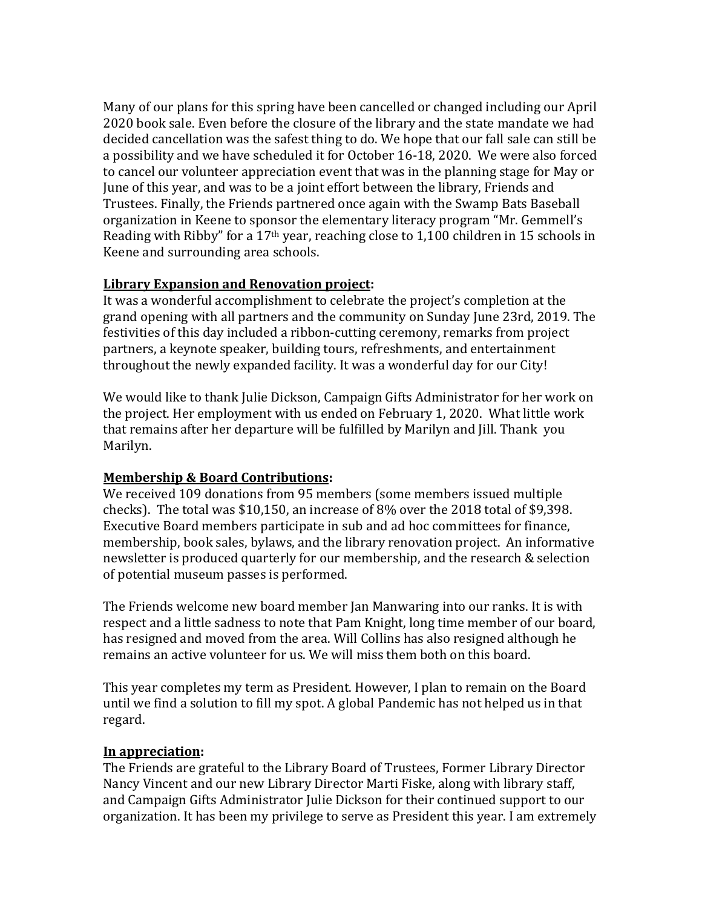Many of our plans for this spring have been cancelled or changed including our April 2020 book sale. Even before the closure of the library and the state mandate we had decided cancellation was the safest thing to do. We hope that our fall sale can still be a possibility and we have scheduled it for October 16-18, 2020. We were also forced to cancel our volunteer appreciation event that was in the planning stage for May or June of this year, and was to be a joint effort between the library, Friends and Trustees. Finally, the Friends partnered once again with the Swamp Bats Baseball organization in Keene to sponsor the elementary literacy program "Mr. Gemmell's Reading with Ribby" for a  $17<sup>th</sup>$  year, reaching close to 1,100 children in 15 schools in Keene and surrounding area schools.

#### **Library Expansion and Renovation project:**

It was a wonderful accomplishment to celebrate the project's completion at the grand opening with all partners and the community on Sunday June 23rd, 2019. The festivities of this day included a ribbon-cutting ceremony, remarks from project partners, a keynote speaker, building tours, refreshments, and entertainment throughout the newly expanded facility. It was a wonderful day for our City!

We would like to thank Julie Dickson, Campaign Gifts Administrator for her work on the project. Her employment with us ended on February 1, 2020. What little work that remains after her departure will be fulfilled by Marilyn and Jill. Thank you Marilyn.

## **Membership & Board Contributions:**

We received 109 donations from 95 members (some members issued multiple checks). The total was \$10,150, an increase of 8% over the 2018 total of \$9,398. Executive Board members participate in sub and ad hoc committees for finance, membership, book sales, bylaws, and the library renovation project. An informative newsletter is produced quarterly for our membership, and the research & selection of potential museum passes is performed.

The Friends welcome new board member Jan Manwaring into our ranks. It is with respect and a little sadness to note that Pam Knight, long time member of our board, has resigned and moved from the area. Will Collins has also resigned although he remains an active volunteer for us. We will miss them both on this board.

This year completes my term as President. However, I plan to remain on the Board until we find a solution to fill my spot. A global Pandemic has not helped us in that regard.

## **In appreciation:**

The Friends are grateful to the Library Board of Trustees, Former Library Director Nancy Vincent and our new Library Director Marti Fiske, along with library staff, and Campaign Gifts Administrator Julie Dickson for their continued support to our organization. It has been my privilege to serve as President this year. I am extremely